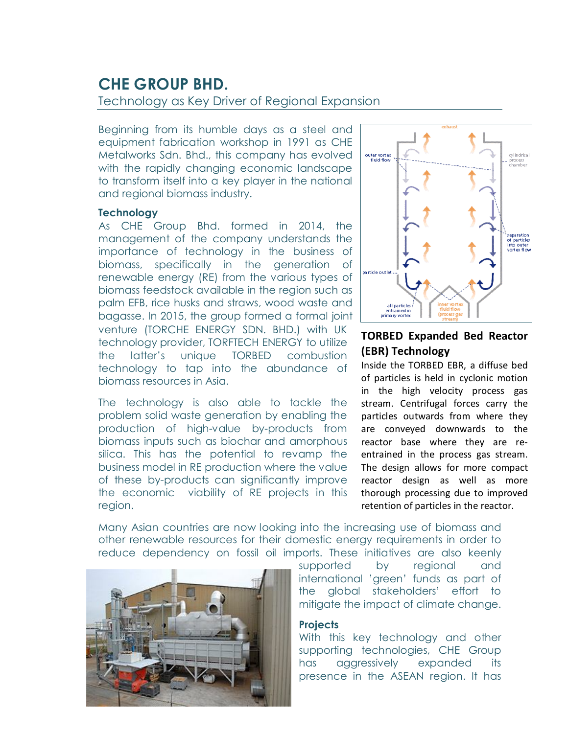# **CHE GROUP BHD.**

### Technology as Key Driver of Regional Expansion

Beginning from its humble days as a steel and equipment fabrication workshop in 1991 as CHE Metalworks Sdn. Bhd., this company has evolved with the rapidly changing economic landscape to transform itself into a key player in the national and regional biomass industry.

#### **Technology**

As CHE Group Bhd. formed in 2014, the management of the company understands the importance of technology in the business of biomass, specifically in the generation of renewable energy (RE) from the various types of biomass feedstock available in the region such as palm EFB, rice husks and straws, wood waste and bagasse. In 2015, the group formed a formal joint venture (TORCHE ENERGY SDN. BHD.) with UK technology provider, TORFTECH ENERGY to utilize the latter's unique TORBED combustion technology to tap into the abundance of biomass resources in Asia.

The technology is also able to tackle the problem solid waste generation by enabling the production of high-value by-products from biomass inputs such as biochar and amorphous silica. This has the potential to revamp the business model in RE production where the value of these by-products can significantly improve the economic viability of RE projects in this region.



## **TORBED Expanded Bed Reactor (EBR) Technology**

Inside the TORBED EBR, a diffuse bed of particles is held in cyclonic motion in the high velocity process gas stream. Centrifugal forces carry the particles outwards from where they are conveyed downwards to the reactor base where they are reentrained in the process gas stream. The design allows for more compact reactor design as well as more thorough processing due to improved retention of particles in the reactor.

Many Asian countries are now looking into the increasing use of biomass and other renewable resources for their domestic energy requirements in order to reduce dependency on fossil oil imports. These initiatives are also keenly



supported by regional and international 'green' funds as part of the global stakeholders' effort to mitigate the impact of climate change.

#### **Projects**

With this key technology and other supporting technologies, CHE Group has aggressively expanded its presence in the ASEAN region. It has